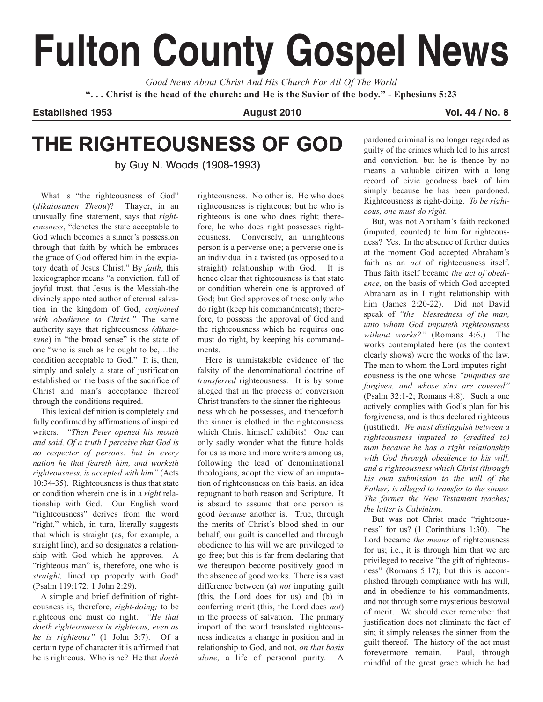# **Fulton County Gospel News**

*Good News About Christ And His Church For All Of The World* **". . . Christ is the head of the church: and He is the Savior of the body." - Ephesians 5:23**

**Established 1953 August 2010 Vol. 44 / No. 8**

# **THE RIGHTEOUSNESS OF GOD**

by Guy N. Woods (1908-1993)

What is "the righteousness of God" (*dikaiosunen Theou*)? Thayer, in an unusually fine statement, says that *righteousness*, "denotes the state acceptable to God which becomes a sinner's possession through that faith by which he embraces the grace of God offered him in the expiatory death of Jesus Christ." By *faith*, this lexicographer means "a conviction, full of joyful trust, that Jesus is the Messiah-the divinely appointed author of eternal salvation in the kingdom of God, *conjoined with obedience to Christ."* The same authority says that righteousness *(dikaiosune*) in "the broad sense" is the state of one "who is such as he ought to be,…the condition acceptable to God." It is, then, simply and solely a state of justification established on the basis of the sacrifice of Christ and man's acceptance thereof through the conditions required.

This lexical definition is completely and fully confirmed by affirmations of inspired writers. *"Then Peter opened his mouth and said, Of a truth I perceive that God is no respecter of persons: but in every nation he that feareth him, and worketh righteousness, is accepted with him"* (Acts 10:34-35). Righteousness is thus that state or condition wherein one is in a *right* relationship with God. Our English word "righteousness" derives from the word "right," which, in turn, literally suggests that which is straight (as, for example, a straight line), and so designates a relationship with God which he approves. A "righteous man" is, therefore, one who is *straight,* lined up properly with God! (Psalm 119:172; 1 John 2:29).

A simple and brief definition of righteousness is, therefore, *right-doing;* to be righteous one must do right. *"He that doeth righteousness in righteous, even as he is righteous"* (1 John 3:7). Of a certain type of character it is affirmed that he is righteous. Who is he? He that *doeth*

righteousness. No other is. He who does righteousness is righteous; but he who is righteous is one who does right; therefore, he who does right possesses righteousness. Conversely, an unrighteous person is a perverse one; a perverse one is an individual in a twisted (as opposed to a straight) relationship with God. It is hence clear that righteousness is that state or condition wherein one is approved of God; but God approves of those only who do right (keep his commandments); therefore, to possess the approval of God and the righteousness which he requires one must do right, by keeping his commandments.

Here is unmistakable evidence of the falsity of the denominational doctrine of *transferred* righteousness. It is by some alleged that in the process of conversion Christ transfers to the sinner the righteousness which he possesses, and thenceforth the sinner is clothed in the righteousness which Christ himself exhibits! One can only sadly wonder what the future holds for us as more and more writers among us, following the lead of denominational theologians, adopt the view of an imputation of righteousness on this basis, an idea repugnant to both reason and Scripture. It is absurd to assume that one person is good *because* another is. True, through the merits of Christ's blood shed in our behalf, our guilt is cancelled and through obedience to his will we are privileged to go free; but this is far from declaring that we thereupon become positively good in the absence of good works. There is a vast difference between (a) *not* imputing guilt (this, the Lord does for us) and (b) in conferring merit (this, the Lord does *not*) in the process of salvation. The primary import of the word translated righteousness indicates a change in position and in relationship to God, and not, *on that basis alone,* a life of personal purity. A

pardoned criminal is no longer regarded as guilty of the crimes which led to his arrest and conviction, but he is thence by no means a valuable citizen with a long record of civic goodness back of him simply because he has been pardoned. Righteousness is right-doing. *To be righteous, one must do right.*

But, was not Abraham's faith reckoned (imputed, counted) to him for righteousness? Yes. In the absence of further duties at the moment God accepted Abraham's faith as an *act* of righteousness itself. Thus faith itself became *the act of obedience,* on the basis of which God accepted Abraham as in I right relationship with him (James 2:20-22). Did not David speak of *"the blessedness of the man, unto whom God imputeth righteousness without works?"* (Romans 4:6.) The works contemplated here (as the context clearly shows) were the works of the law. The man to whom the Lord imputes righteousness is the one whose *"iniquities are forgiven, and whose sins are covered"* (Psalm 32:1-2; Romans 4:8). Such a one actively complies with God's plan for his forgiveness, and is thus declared righteous (justified). *We must distinguish between a righteousness imputed to (credited to) man because he has a right relationship with God through obedience to his will, and a righteousness which Christ (through his own submission to the will of the Father) is alleged to transfer to the sinner. The former the New Testament teaches; the latter is Calvinism.*

But was not Christ made "righteousness" for us? (1 Corinthians 1:30). The Lord became *the means* of righteousness for us; i.e., it is through him that we are privileged to receive "the gift of righteousness" (Romans 5:17); but this is accomplished through compliance with his will, and in obedience to his commandments, and not through some mysterious bestowal of merit. We should ever remember that justification does not eliminate the fact of sin; it simply releases the sinner from the guilt thereof. The history of the act must forevermore remain. Paul, through mindful of the great grace which he had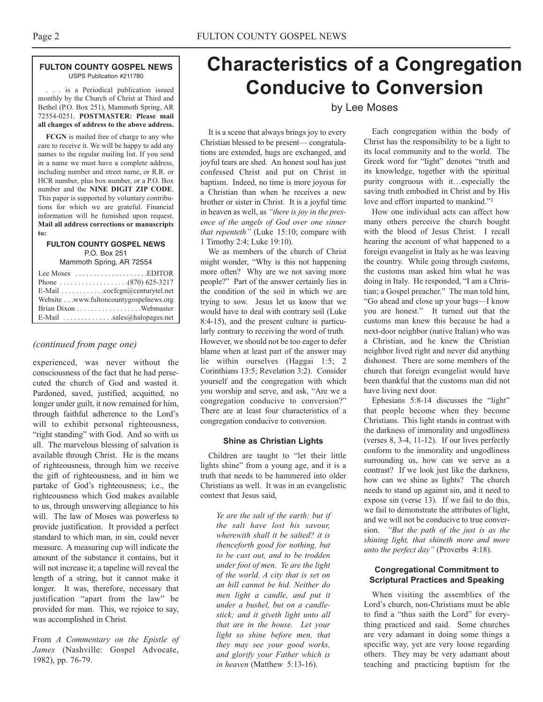#### **FULTON COUNTY GOSPEL NEWS** USPS Publication #211780

. . . is a Periodical publication issued monthly by the Church of Christ at Third and Bethel (P.O. Box 251), Mammoth Spring, AR 72554-0251. **POSTMASTER: Please mail all changes of address to the above address.**

**FCGN** is mailed free of charge to any who care to receive it. We will be happy to add any names to the regular mailing list. If you send in a name we must have a complete address, including number and street name, or R.R. or HCR number, plus box number, or a P.O. Box number and the **NINE DIGIT ZIP CODE**. This paper is supported by voluntary contributions for which we are grateful. Financial information will be furnished upon request. **Mail all address corrections or manuscripts to:**

#### **FULTON COUNTY GOSPEL NEWS** P.O. Box 251

Mammoth Spring, AR 72554

| Lee Moses $\dots \dots \dots \dots \dots$ . EDITOR          |  |
|-------------------------------------------------------------|--|
|                                                             |  |
| E-Mail $\ldots \ldots \ldots \ldots$ cocfcgn@centurytel.net |  |
| Website www.fultoncountygospelnews.org                      |  |
|                                                             |  |
| E-Mail $\ldots$ sales@halopages.net                         |  |

#### *(continued from page one)*

experienced, was never without the consciousness of the fact that he had persecuted the church of God and wasted it. Pardoned, saved, justified, acquitted, no longer under guilt, it now remained for him, through faithful adherence to the Lord's will to exhibit personal righteousness, "right standing" with God. And so with us all. The marvelous blessing of salvation is available through Christ. He is the means of righteousness, through him we receive the gift of righteousness, and in him we partake of God's righteousness; i.e., the righteousness which God makes available to us, through unswerving allegiance to his will. The law of Moses was powerless to provide justification. It provided a perfect standard to which man, in sin, could never measure. A measuring cup will indicate the amount of the substance it contains, but it will not increase it; a tapeline will reveal the length of a string, but it cannot make it longer. It was, therefore, necessary that justification "apart from the law" be provided for man. This, we rejoice to say, was accomplished in Christ.

From *A Commentary on the Epistle of James* (Nashville: Gospel Advocate, 1982), pp. 76-79.

# **Characteristics of a Congregation Conducive to Conversion**

# by Lee Moses

It is a scene that always brings joy to every Christian blessed to be present— congratulations are extended, hugs are exchanged, and joyful tears are shed. An honest soul has just confessed Christ and put on Christ in baptism. Indeed, no time is more joyous for a Christian than when he receives a new brother or sister in Christ. It is a joyful time in heaven as well, as *"there is joy in the presence of the angels of God over one sinner that repenteth"* (Luke 15:10; compare with 1 Timothy 2:4; Luke 19:10).

We as members of the church of Christ might wonder, "Why is this not happening more often? Why are we not saving more people?" Part of the answer certainly lies in the condition of the soil in which we are trying to sow. Jesus let us know that we would have to deal with contrary soil (Luke 8:4-15), and the present culture is particularly contrary to receiving the word of truth. However, we should not be too eager to defer blame when at least part of the answer may lie within ourselves (Haggai 1:5; 2 Corinthians 13:5; Revelation 3:2). Consider yourself and the congregation with which you worship and serve, and ask, "Are we a congregation conducive to conversion?" There are at least four characteristics of a congregation conducive to conversion.

#### **Shine as Christian Lights**

Children are taught to "let their little lights shine" from a young age, and it is a truth that needs to be hammered into older Christians as well. It was in an evangelistic context that Jesus said,

> *Ye are the salt of the earth: but if the salt have lost his savour, wherewith shall it be salted? it is thenceforth good for nothing, but to be cast out, and to be trodden under foot of men. Ye are the light of the world. A city that is set on an hill cannot be hid. Neither do men light a candle, and put it under a bushel, but on a candlestick; and it giveth light unto all that are in the house. Let your light so shine before men, that they may see your good works, and glorify your Father which is in heaven* (Matthew 5:13-16).

Each congregation within the body of Christ has the responsibility to be a light to its local community and to the world. The Greek word for "light" denotes "truth and its knowledge, together with the spiritual purity congruous with it…especially the saving truth embodied in Christ and by His love and effort imparted to mankind."1

How one individual acts can affect how many others perceive the church bought with the blood of Jesus Christ. I recall hearing the account of what happened to a foreign evangelist in Italy as he was leaving the country. While going through customs, the customs man asked him what he was doing in Italy. He responded, "I am a Christian; a Gospel preacher." The man told him, "Go ahead and close up your bags—I know you are honest." It turned out that the customs man knew this because he had a next-door neighbor (native Italian) who was a Christian, and he knew the Christian neighbor lived right and never did anything dishonest. There are some members of the church that foreign evangelist would have been thankful that the customs man did not have living next door.

Ephesians 5:8-14 discusses the "light" that people become when they become Christians. This light stands in contrast with the darkness of immorality and ungodliness (verses 8, 3-4, 11-12). If our lives perfectly conform to the immorality and ungodliness surrounding us, how can we serve as a contrast? If we look just like the darkness, how can we shine as lights? The church needs to stand up against sin, and it need to expose sin (verse 13). If we fail to do this, we fail to demonstrate the attributes of light, and we will not be conducive to true conversion. *"But the path of the just is as the shining light, that shineth more and more unto the perfect day"* (Proverbs 4:18).

#### **Congregational Commitment to Scriptural Practices and Speaking**

When visiting the assemblies of the Lord's church, non-Christians must be able to find a "thus saith the Lord" for everything practiced and said. Some churches are very adamant in doing some things a specific way, yet are very loose regarding others. They may be very adamant about teaching and practicing baptism for the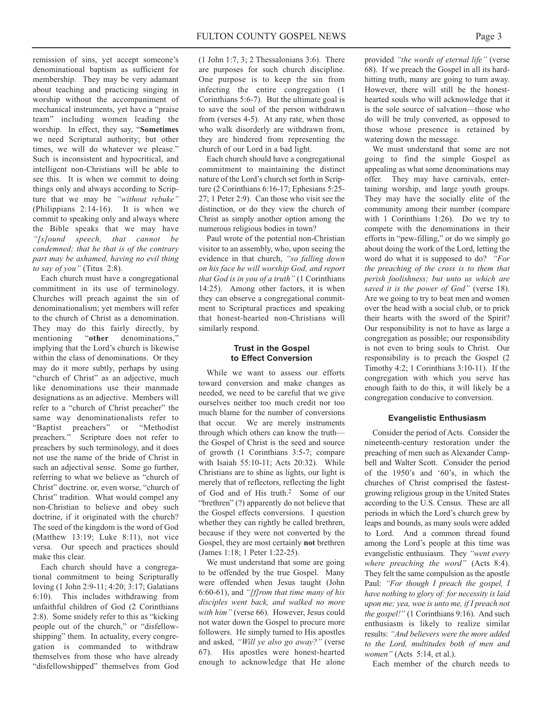remission of sins, yet accept someone's denominational baptism as sufficient for membership. They may be very adamant about teaching and practicing singing in worship without the accompaniment of mechanical instruments, yet have a "praise team" including women leading the worship. In effect, they say, "**Sometimes** we need Scriptural authority; but other times, we will do whatever we please." Such is inconsistent and hypocritical, and intelligent non-Christians will be able to see this. It is when we commit to doing things only and always according to Scripture that we may be *"without rebuke"* (Philippians 2:14-16). It is when we commit to speaking only and always where the Bible speaks that we may have *"[s]ound speech, that cannot be condemned; that he that is of the contrary part may be ashamed, having no evil thing to say of you"* (Titus 2:8).

Each church must have a congregational commitment in its use of terminology. Churches will preach against the sin of denominationalism; yet members will refer to the church of Christ as a denomination. They may do this fairly directly, by mentioning "**other** denominations," implying that the Lord's church is likewise within the class of denominations. Or they may do it more subtly, perhaps by using "church of Christ" as an adjective, much like denominations use their manmade designations as an adjective. Members will refer to a "church of Christ preacher" the same way denominationalists refer to "Baptist preachers" or "Methodist preachers." Scripture does not refer to preachers by such terminology, and it does not use the name of the bride of Christ in such an adjectival sense. Some go further, referring to what we believe as "church of Christ" doctrine. or, even worse, "church of Christ" tradition. What would compel any non-Christian to believe and obey such doctrine, if it originated with the church? The seed of the kingdom is the word of God (Matthew 13:19; Luke 8:11), not vice versa. Our speech and practices should make this clear.

Each church should have a congregational commitment to being Scripturally loving (1 John 2:9-11; 4:20; 3:17; Galatians 6:10). This includes withdrawing from unfaithful children of God (2 Corinthians 2:8). Some snidely refer to this as "kicking people out of the church," or "disfellowshipping" them. In actuality, every congregation is commanded to withdraw themselves from those who have already "disfellowshipped" themselves from God

(1 John 1:7, 3; 2 Thessalonians 3:6). There are purposes for such church discipline. One purpose is to keep the sin from infecting the entire congregation (1 Corinthians 5:6-7). But the ultimate goal is to save the soul of the person withdrawn from (verses 4-5). At any rate, when those who walk disorderly are withdrawn from, they are hindered from representing the church of our Lord in a bad light.

Each church should have a congregational commitment to maintaining the distinct nature of the Lord's church set forth in Scripture (2 Corinthians 6:16-17; Ephesians 5:25- 27; 1 Peter 2:9). Can those who visit see the distinction, or do they view the church of Christ as simply another option among the numerous religious bodies in town?

Paul wrote of the potential non-Christian visitor to an assembly, who, upon seeing the evidence in that church, *"so falling down on his face he will worship God, and report that God is in you of a truth"* (1 Corinthians 14:25). Among other factors, it is when they can observe a congregational commitment to Scriptural practices and speaking that honest-hearted non-Christians will similarly respond.

#### **Trust in the Gospel to Effect Conversion**

While we want to assess our efforts toward conversion and make changes as needed, we need to be careful that we give ourselves neither too much credit nor too much blame for the number of conversions that occur. We are merely instruments through which others can know the truth the Gospel of Christ is the seed and source of growth (1 Corinthians 3:5-7; compare with Isaiah 55:10-11; Acts 20:32). While Christians are to shine as lights, our light is merely that of reflectors, reflecting the light of God and of His truth.2 Some of our "brethren" (?) apparently do not believe that the Gospel effects conversions. I question whether they can rightly be called brethren, because if they were not converted by the Gospel, they are most certainly **not** brethren (James 1:18; 1 Peter 1:22-25).

We must understand that some are going to be offended by the true Gospel. Many were offended when Jesus taught (John 6:60-61), and *"[f]rom that time many of his disciples went back, and walked no more with him"* (verse 66). However, Jesus could not water down the Gospel to procure more followers. He simply turned to His apostles and asked, *"Will ye also go away?"* (verse 67). His apostles were honest-hearted enough to acknowledge that He alone provided *"the words of eternal life"* (verse 68). If we preach the Gospel in all its hardhitting truth, many are going to turn away. However, there will still be the honesthearted souls who will acknowledge that it is the sole source of salvation—those who do will be truly converted, as opposed to those whose presence is retained by watering down the message.

We must understand that some are not going to find the simple Gospel as appealing as what some denominations may offer. They may have carnivals, entertaining worship, and large youth groups. They may have the socially elite of the community among their number (compare with 1 Corinthians 1:26). Do we try to compete with the denominations in their efforts in "pew-filling," or do we simply go about doing the work of the Lord, letting the word do what it is supposed to do? *"For the preaching of the cross is to them that perish foolishness; but unto us which are saved it is the power of God"* (verse 18). Are we going to try to beat men and women over the head with a social club, or to prick their hearts with the sword of the Spirit? Our responsibility is not to have as large a congregation as possible; our responsibility is not even to bring souls to Christ. Our responsibility is to preach the Gospel (2 Timothy 4:2; 1 Corinthians 3:10-11). If the congregation with which you serve has enough faith to do this, it will likely be a congregation conducive to conversion.

#### **Evangelistic Enthusiasm**

Consider the period of Acts. Consider the nineteenth-century restoration under the preaching of men such as Alexander Campbell and Walter Scott. Consider the period of the 1950's and '60's, in which the churches of Christ comprised the fastestgrowing religious group in the United States according to the U.S. Census. These are all periods in which the Lord's church grew by leaps and bounds, as many souls were added to Lord. And a common thread found among the Lord's people at this time was evangelistic enthusiasm. They *"went every where preaching the word"* (Acts 8:4). They felt the same compulsion as the apostle Paul: *"For though I preach the gospel, I have nothing to glory of: for necessity is laid upon me; yea, woe is unto me, if I preach not the gospel!"* (1 Corinthians 9:16). And such enthusiasm is likely to realize similar results: *"And believers were the more added to the Lord, multitudes both of men and women"* (Acts 5:14, et al.).

Each member of the church needs to